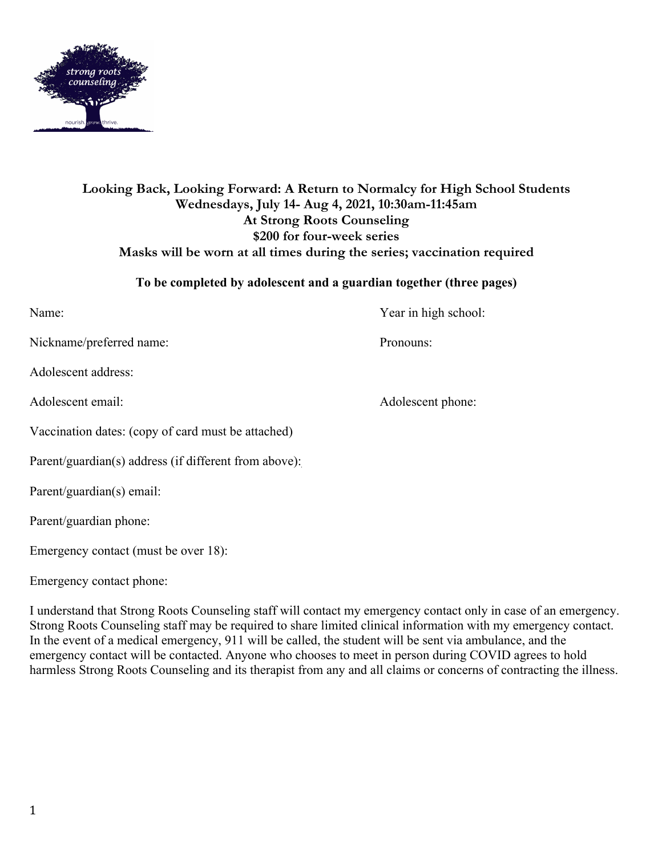

# **Looking Back, Looking Forward: A Return to Normalcy for High School Students Wednesdays, July 14- Aug 4, 2021, 10:30am-11:45am At Strong Roots Counseling \$200 for four-week series Masks will be worn at all times during the series; vaccination required**

## **To be completed by adolescent and a guardian together (three pages)**

Name: Year in high school:

Nickname/preferred name: Pronouns:

Adolescent address:

Adolescent email: Adolescent phone:

Vaccination dates: (copy of card must be attached)

Parent/guardian(s) address (if different from above):

Parent/guardian(s) email:

Parent/guardian phone:

Emergency contact (must be over 18):

Emergency contact phone:

I understand that Strong Roots Counseling staff will contact my emergency contact only in case of an emergency. Strong Roots Counseling staff may be required to share limited clinical information with my emergency contact. In the event of a medical emergency, 911 will be called, the student will be sent via ambulance, and the emergency contact will be contacted. Anyone who chooses to meet in person during COVID agrees to hold harmless Strong Roots Counseling and its therapist from any and all claims or concerns of contracting the illness.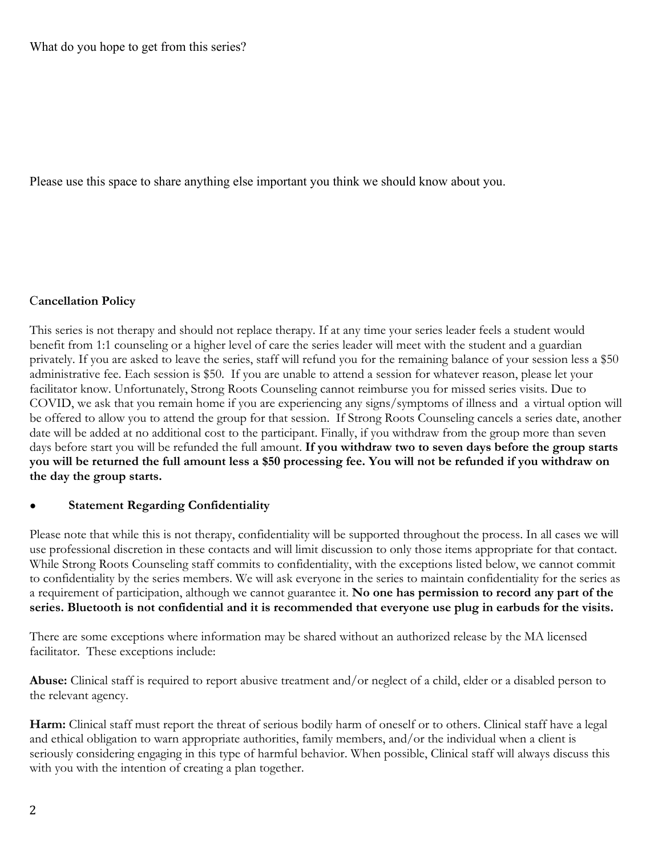What do you hope to get from this series?

Please use this space to share anything else important you think we should know about you.

### C**ancellation Policy**

This series is not therapy and should not replace therapy. If at any time your series leader feels a student would benefit from 1:1 counseling or a higher level of care the series leader will meet with the student and a guardian privately. If you are asked to leave the series, staff will refund you for the remaining balance of your session less a \$50 administrative fee. Each session is \$50. If you are unable to attend a session for whatever reason, please let your facilitator know. Unfortunately, Strong Roots Counseling cannot reimburse you for missed series visits. Due to COVID, we ask that you remain home if you are experiencing any signs/symptoms of illness and a virtual option will be offered to allow you to attend the group for that session. If Strong Roots Counseling cancels a series date, another date will be added at no additional cost to the participant. Finally, if you withdraw from the group more than seven days before start you will be refunded the full amount. **If you withdraw two to seven days before the group starts you will be returned the full amount less a \$50 processing fee. You will not be refunded if you withdraw on the day the group starts.**

## **Statement Regarding Confidentiality**

Please note that while this is not therapy, confidentiality will be supported throughout the process. In all cases we will use professional discretion in these contacts and will limit discussion to only those items appropriate for that contact. While Strong Roots Counseling staff commits to confidentiality, with the exceptions listed below, we cannot commit to confidentiality by the series members. We will ask everyone in the series to maintain confidentiality for the series as a requirement of participation, although we cannot guarantee it. **No one has permission to record any part of the series. Bluetooth is not confidential and it is recommended that everyone use plug in earbuds for the visits.**

There are some exceptions where information may be shared without an authorized release by the MA licensed facilitator. These exceptions include:

**Abuse:** Clinical staff is required to report abusive treatment and/or neglect of a child, elder or a disabled person to the relevant agency.

**Harm:** Clinical staff must report the threat of serious bodily harm of oneself or to others. Clinical staff have a legal and ethical obligation to warn appropriate authorities, family members, and/or the individual when a client is seriously considering engaging in this type of harmful behavior. When possible, Clinical staff will always discuss this with you with the intention of creating a plan together.